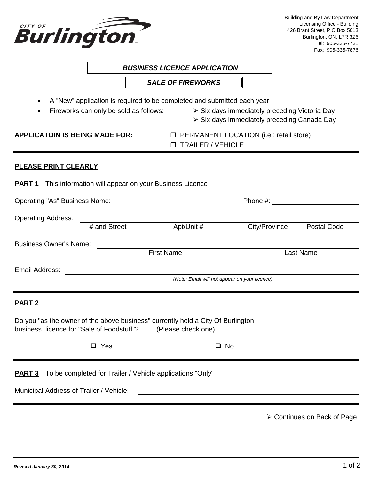| Burlington                                                                                                                                                                                                           |                                                           |                                                                                                       |                                                  | Building and By Law Department<br>Licensing Office - Building<br>426 Brant Street, P.O Box 5013<br>Burlington, ON, L7R 3Z6<br>Tel: 905-335-7731<br>Fax: 905-335-7876 |  |  |  |
|----------------------------------------------------------------------------------------------------------------------------------------------------------------------------------------------------------------------|-----------------------------------------------------------|-------------------------------------------------------------------------------------------------------|--------------------------------------------------|----------------------------------------------------------------------------------------------------------------------------------------------------------------------|--|--|--|
|                                                                                                                                                                                                                      |                                                           | <b>BUSINESS LICENCE APPLICATION</b>                                                                   |                                                  |                                                                                                                                                                      |  |  |  |
|                                                                                                                                                                                                                      |                                                           | <b>SALE OF FIREWORKS</b>                                                                              |                                                  |                                                                                                                                                                      |  |  |  |
| A "New" application is required to be completed and submitted each year<br>Fireworks can only be sold as follows:<br>▶ Six days immediately preceding Victoria Day<br>٠<br>Six days immediately preceding Canada Day |                                                           |                                                                                                       |                                                  |                                                                                                                                                                      |  |  |  |
| <b>APPLICATOIN IS BEING MADE FOR:</b>                                                                                                                                                                                |                                                           | <b>T TRAILER / VEHICLE</b>                                                                            | <b>D</b> PERMANENT LOCATION (i.e.: retail store) |                                                                                                                                                                      |  |  |  |
| <b>PLEASE PRINT CLEARLY</b>                                                                                                                                                                                          |                                                           |                                                                                                       |                                                  |                                                                                                                                                                      |  |  |  |
| <u>PART 1</u>                                                                                                                                                                                                        | This information will appear on your Business Licence     |                                                                                                       |                                                  |                                                                                                                                                                      |  |  |  |
| <b>Operating "As" Business Name:</b>                                                                                                                                                                                 | Phone #:                                                  |                                                                                                       |                                                  |                                                                                                                                                                      |  |  |  |
| <b>Operating Address:</b>                                                                                                                                                                                            |                                                           |                                                                                                       |                                                  |                                                                                                                                                                      |  |  |  |
|                                                                                                                                                                                                                      | # and Street                                              | Apt/Unit #                                                                                            | City/Province                                    | <b>Postal Code</b>                                                                                                                                                   |  |  |  |
| <b>Business Owner's Name:</b>                                                                                                                                                                                        |                                                           | <b>First Name</b>                                                                                     |                                                  | <b>Last Name</b>                                                                                                                                                     |  |  |  |
| Email Address:                                                                                                                                                                                                       |                                                           | (Note: Email will not appear on your licence)                                                         |                                                  |                                                                                                                                                                      |  |  |  |
| PART <sub>2</sub>                                                                                                                                                                                                    |                                                           |                                                                                                       |                                                  |                                                                                                                                                                      |  |  |  |
| business licence for "Sale of Foodstuff"?                                                                                                                                                                            |                                                           | Do you "as the owner of the above business" currently hold a City Of Burlington<br>(Please check one) |                                                  |                                                                                                                                                                      |  |  |  |
|                                                                                                                                                                                                                      | $\Box$ Yes                                                |                                                                                                       | $\square$ No                                     |                                                                                                                                                                      |  |  |  |
| <u>PART 3</u>                                                                                                                                                                                                        | To be completed for Trailer / Vehicle applications "Only" |                                                                                                       |                                                  |                                                                                                                                                                      |  |  |  |
| Municipal Address of Trailer / Vehicle:                                                                                                                                                                              |                                                           |                                                                                                       |                                                  |                                                                                                                                                                      |  |  |  |
|                                                                                                                                                                                                                      |                                                           |                                                                                                       |                                                  | > Continues on Back of Page                                                                                                                                          |  |  |  |